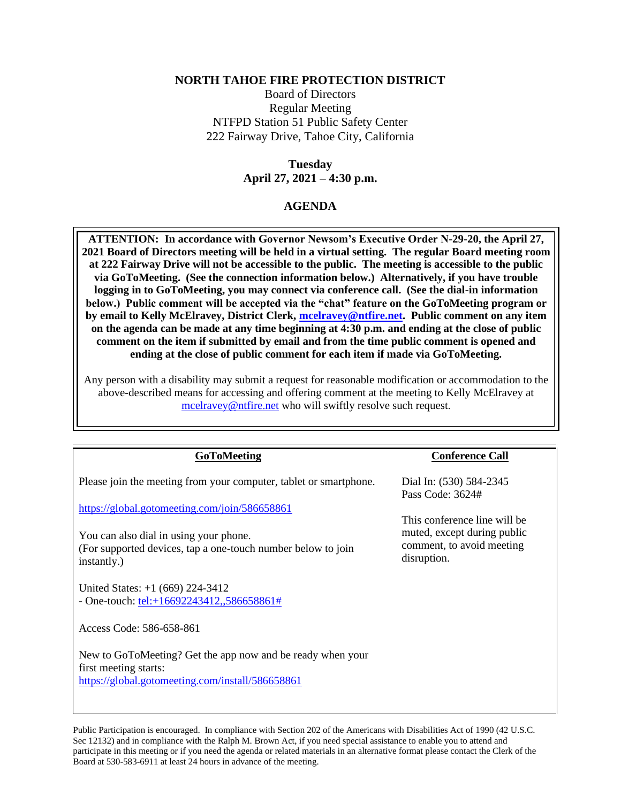## **NORTH TAHOE FIRE PROTECTION DISTRICT**

Board of Directors Regular Meeting NTFPD Station 51 Public Safety Center 222 Fairway Drive, Tahoe City, California

## **Tuesday April 27, 2021 – 4:30 p.m.**

## **AGENDA**

**ATTENTION: In accordance with Governor Newsom's Executive Order N-29-20, the April 27, 2021 Board of Directors meeting will be held in a virtual setting. The regular Board meeting room at 222 Fairway Drive will not be accessible to the public. The meeting is accessible to the public via GoToMeeting. (See the connection information below.) Alternatively, if you have trouble logging in to GoToMeeting, you may connect via conference call. (See the dial-in information below.) Public comment will be accepted via the "chat" feature on the GoToMeeting program or by email to Kelly McElravey, District Clerk, [mcelravey@ntfire.net.](mailto:mcelravey@ntfire.net) Public comment on any item on the agenda can be made at any time beginning at 4:30 p.m. and ending at the close of public comment on the item if submitted by email and from the time public comment is opened and ending at the close of public comment for each item if made via GoToMeeting.** 

Any person with a disability may submit a request for reasonable modification or accommodation to the above-described means for accessing and offering comment at the meeting to Kelly McElravey at [mcelravey@ntfire.net](mailto:mcelravey@ntfire.net) who will swiftly resolve such request.

| <b>GoToMeeting</b>                                                                                                                      | <b>Conference Call</b>                                                  |
|-----------------------------------------------------------------------------------------------------------------------------------------|-------------------------------------------------------------------------|
| Please join the meeting from your computer, tablet or smartphone.                                                                       | Dial In: (530) 584-2345                                                 |
|                                                                                                                                         | Pass Code: 3624#                                                        |
| https://global.gotomeeting.com/join/586658861                                                                                           | This conference line will be                                            |
| You can also dial in using your phone.<br>(For supported devices, tap a one-touch number below to join<br>instantly.)                   | muted, except during public<br>comment, to avoid meeting<br>disruption. |
| United States: $+1$ (669) 224-3412<br>- One-touch: $\frac{tel: +16692243412, .586658861#}{rel: +16692243412}$                           |                                                                         |
| Access Code: 586-658-861                                                                                                                |                                                                         |
| New to GoToMeeting? Get the app now and be ready when your<br>first meeting starts:<br>https://global.gotomeeting.com/install/586658861 |                                                                         |
|                                                                                                                                         |                                                                         |

Public Participation is encouraged. In compliance with Section 202 of the Americans with Disabilities Act of 1990 (42 U.S.C. Sec 12132) and in compliance with the Ralph M. Brown Act, if you need special assistance to enable you to attend and participate in this meeting or if you need the agenda or related materials in an alternative format please contact the Clerk of the Board at 530-583-6911 at least 24 hours in advance of the meeting.